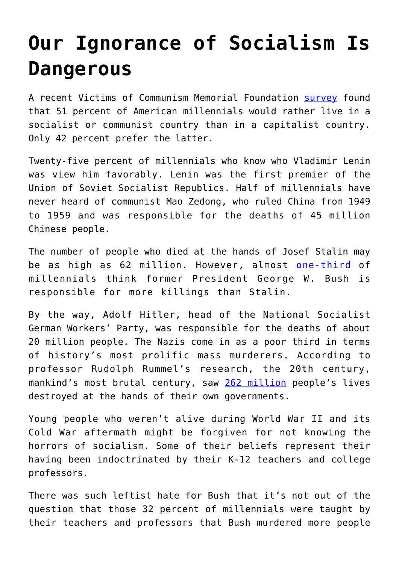## **[Our Ignorance of Socialism Is](https://intellectualtakeout.org/2018/12/our-ignorance-of-socialism-is-dangerous/) [Dangerous](https://intellectualtakeout.org/2018/12/our-ignorance-of-socialism-is-dangerous/)**

A recent Victims of Communism Memorial Foundation [survey](http://tinyurl.com/ybsejy3f) found that 51 percent of American millennials would rather live in a socialist or communist country than in a capitalist country. Only 42 percent prefer the latter.

Twenty-five percent of millennials who know who Vladimir Lenin was view him favorably. Lenin was the first premier of the Union of Soviet Socialist Republics. Half of millennials have never heard of communist Mao Zedong, who ruled China from 1949 to 1959 and was responsible for the deaths of 45 million Chinese people.

The number of people who died at the hands of Josef Stalin may be as high as 62 million. However, almost [one-third](http://tinyurl.com/yb43dlhm) of millennials think former President George W. Bush is responsible for more killings than Stalin.

By the way, Adolf Hitler, head of the National Socialist German Workers' Party, was responsible for the deaths of about 20 million people. The Nazis come in as a poor third in terms of history's most prolific mass murderers. According to professor Rudolph Rummel's research, the 20th century, mankind's most brutal century, saw [262 million](http://tinyurl.com/lu8z8ab) people's lives destroyed at the hands of their own governments.

Young people who weren't alive during World War II and its Cold War aftermath might be forgiven for not knowing the horrors of socialism. Some of their beliefs represent their having been indoctrinated by their K-12 teachers and college professors.

There was such leftist hate for Bush that it's not out of the question that those 32 percent of millennials were taught by their teachers and professors that Bush murdered more people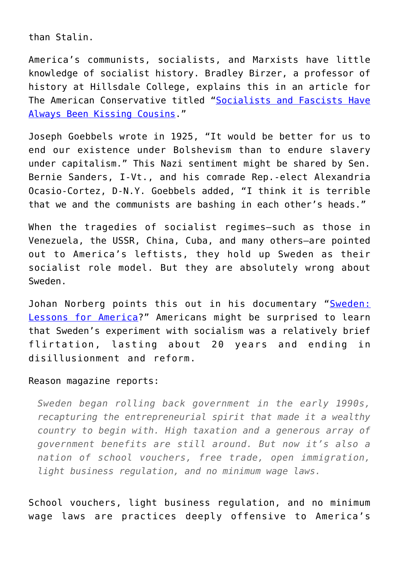than Stalin.

America's communists, socialists, and Marxists have little knowledge of socialist history. Bradley Birzer, a professor of history at Hillsdale College, explains this in an article for The American Conservative titled ["Socialists and Fascists Have](http://tinyurl.com/yd4lqxvs) [Always Been Kissing Cousins.](http://tinyurl.com/yd4lqxvs)"

Joseph Goebbels wrote in 1925, "It would be better for us to end our existence under Bolshevism than to endure slavery under capitalism." This Nazi sentiment might be shared by Sen. Bernie Sanders, I-Vt., and his comrade Rep.-elect Alexandria Ocasio-Cortez, D-N.Y. Goebbels added, "I think it is terrible that we and the communists are bashing in each other's heads."

When the tragedies of socialist regimes—such as those in Venezuela, the USSR, China, Cuba, and many others—are pointed out to America's leftists, they hold up Sweden as their socialist role model. But they are absolutely wrong about Sweden.

Johan Norberg points this out in his documentary "[Sweden:](http://tinyurl.com/lvdwzhr) [Lessons for America](http://tinyurl.com/lvdwzhr)?" Americans might be surprised to learn that Sweden's experiment with socialism was a relatively brief flirtation, lasting about 20 years and ending in disillusionment and reform.

## Reason magazine reports:

*Sweden began rolling back government in the early 1990s, recapturing the entrepreneurial spirit that made it a wealthy country to begin with. High taxation and a generous array of government benefits are still around. But now it's also a nation of school vouchers, free trade, open immigration, light business regulation, and no minimum wage laws.*

School vouchers, light business regulation, and no minimum wage laws are practices deeply offensive to America's